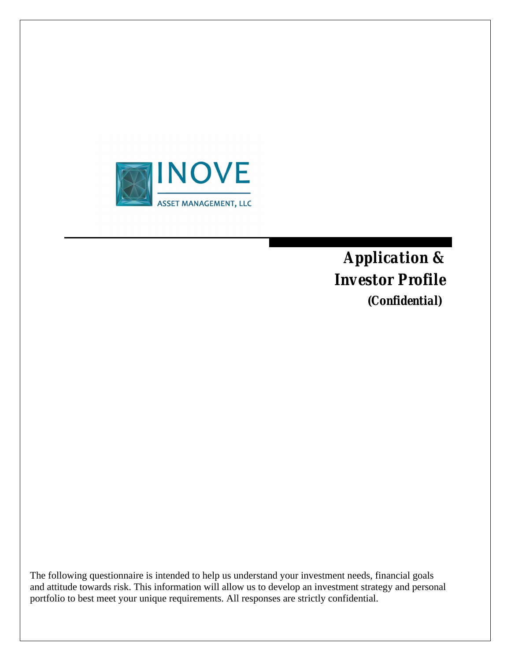

*Application & Investor Profile (Confidential)*

The following questionnaire is intended to help us understand your investment needs, financial goals and attitude towards risk. This information will allow us to develop an investment strategy and personal portfolio to best meet your unique requirements. All responses are strictly confidential.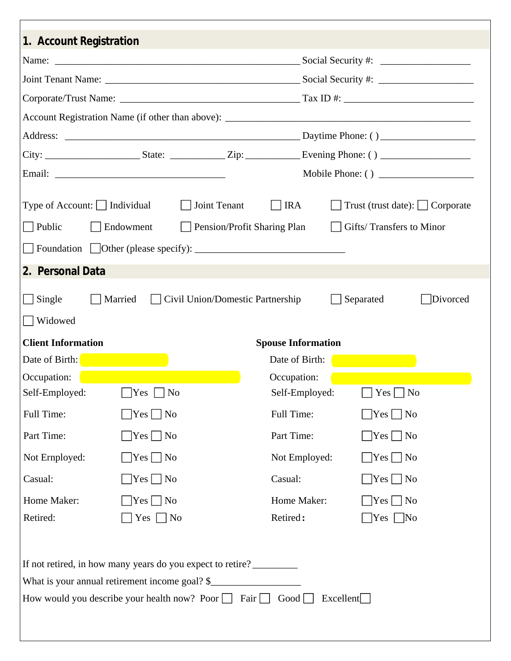| 1. Account Registration                                                                                      |                            |                                          |                |                                             |  |  |  |
|--------------------------------------------------------------------------------------------------------------|----------------------------|------------------------------------------|----------------|---------------------------------------------|--|--|--|
|                                                                                                              |                            |                                          |                |                                             |  |  |  |
|                                                                                                              |                            |                                          |                |                                             |  |  |  |
|                                                                                                              |                            |                                          |                |                                             |  |  |  |
|                                                                                                              |                            |                                          |                |                                             |  |  |  |
|                                                                                                              |                            |                                          |                |                                             |  |  |  |
|                                                                                                              |                            |                                          |                |                                             |  |  |  |
|                                                                                                              |                            |                                          |                |                                             |  |  |  |
| Type of Account: $\Box$ Individual                                                                           |                            | $\Box$ Joint Tenant                      | $\Box$ IRA     | $\Box$ Trust (trust date): $\Box$ Corporate |  |  |  |
| $\vert$ Public                                                                                               | Endowment                  | $\Box$ Pension/Profit Sharing Plan       |                | $\Box$ Gifts/Transfers to Minor             |  |  |  |
|                                                                                                              |                            |                                          |                |                                             |  |  |  |
| $\Box$ Foundation $\Box$ Other (please specify): $\Box$                                                      |                            |                                          |                |                                             |  |  |  |
| 2. Personal Data                                                                                             |                            |                                          |                |                                             |  |  |  |
| $\Box$ Single                                                                                                |                            | Married Civil Union/Domestic Partnership |                | Separated<br>Divorced                       |  |  |  |
| Widowed                                                                                                      |                            |                                          |                |                                             |  |  |  |
| <b>Client Information</b><br><b>Spouse Information</b>                                                       |                            |                                          |                |                                             |  |  |  |
| Date of Birth:                                                                                               |                            |                                          | Date of Birth: |                                             |  |  |  |
| Occupation:                                                                                                  |                            |                                          | Occupation:    |                                             |  |  |  |
| Self-Employed: $\Box$ Yes $\Box$ No                                                                          |                            |                                          | Self-Employed: | $\Box$ Yes $\Box$ No                        |  |  |  |
| Full Time:                                                                                                   | $ Yes $   No               |                                          | Full Time:     | $\Box$ Yes $\Box$ No                        |  |  |  |
| Part Time:                                                                                                   | $\bigcap$ Yes $\bigcap$ No |                                          | Part Time:     | $\bigcap$ Yes $\bigcap$ No                  |  |  |  |
| Not Ernployed:                                                                                               | $\Box$ Yes $\Box$ No       |                                          | Not Employed:  | $Yes$ No                                    |  |  |  |
| Casual:                                                                                                      | $ Yes $ No                 |                                          | Casual:        | $\bigcap$ Yes $\bigcap$ No                  |  |  |  |
| Home Maker:                                                                                                  | $Yes \mid \neg No$         |                                          | Home Maker:    | $Yes \mid No$                               |  |  |  |
| Retired:                                                                                                     | $Yes \t  No$               |                                          | Retired:       | Yes   No                                    |  |  |  |
|                                                                                                              |                            |                                          |                |                                             |  |  |  |
|                                                                                                              |                            |                                          |                |                                             |  |  |  |
| If not retired, in how many years do you expect to retire?<br>What is your annual retirement income goal? \$ |                            |                                          |                |                                             |  |  |  |
| How would you describe your health now? Poor $\Box$ Fair $\Box$ Good $\Box$<br>Excellent                     |                            |                                          |                |                                             |  |  |  |
|                                                                                                              |                            |                                          |                |                                             |  |  |  |
|                                                                                                              |                            |                                          |                |                                             |  |  |  |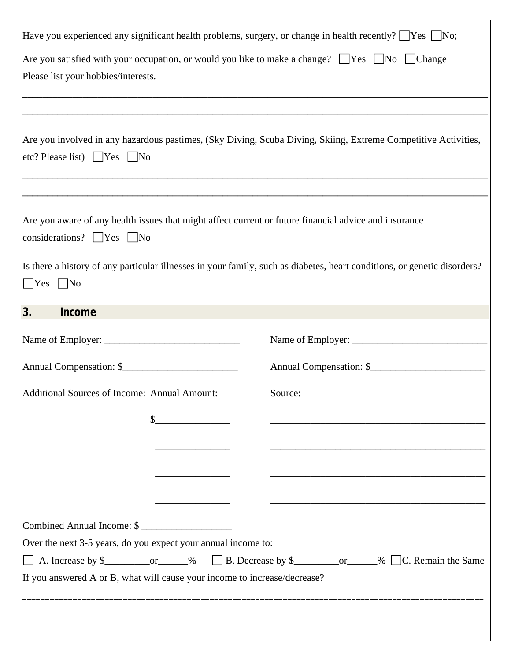| Have you experienced any significant health problems, surgery, or change in health recently? $\Box$ Yes $\Box$ No;                                       |                                                                                                                      |  |  |  |  |  |
|----------------------------------------------------------------------------------------------------------------------------------------------------------|----------------------------------------------------------------------------------------------------------------------|--|--|--|--|--|
| Are you satisfied with your occupation, or would you like to make a change? $\Box$ Yes $\Box$ No $\Box$ Change<br>Please list your hobbies/interests.    |                                                                                                                      |  |  |  |  |  |
|                                                                                                                                                          |                                                                                                                      |  |  |  |  |  |
| Are you involved in any hazardous pastimes, (Sky Diving, Scuba Diving, Skiing, Extreme Competitive Activities,<br>etc? Please list) $\Box$ Yes $\Box$ No |                                                                                                                      |  |  |  |  |  |
|                                                                                                                                                          |                                                                                                                      |  |  |  |  |  |
| Are you aware of any health issues that might affect current or future financial advice and insurance<br>considerations? $\Box$ Yes $\Box$ No            |                                                                                                                      |  |  |  |  |  |
| Is there a history of any particular illnesses in your family, such as diabetes, heart conditions, or genetic disorders?<br>$\Box$ Yes $\Box$ No         |                                                                                                                      |  |  |  |  |  |
| 3.<br>Income                                                                                                                                             |                                                                                                                      |  |  |  |  |  |
|                                                                                                                                                          |                                                                                                                      |  |  |  |  |  |
| Annual Compensation: \$                                                                                                                                  |                                                                                                                      |  |  |  |  |  |
| Additional Sources of Income: Annual Amount:                                                                                                             | Source:                                                                                                              |  |  |  |  |  |
|                                                                                                                                                          | <u> 1989 - Johann Barbara, martin da basar a shekara tsa 1980 - An tsa 1980 - An tsa 1980 - An tsa 1980 - An tsa</u> |  |  |  |  |  |
|                                                                                                                                                          |                                                                                                                      |  |  |  |  |  |
|                                                                                                                                                          |                                                                                                                      |  |  |  |  |  |
|                                                                                                                                                          |                                                                                                                      |  |  |  |  |  |
|                                                                                                                                                          |                                                                                                                      |  |  |  |  |  |
| Combined Annual Income: \$                                                                                                                               |                                                                                                                      |  |  |  |  |  |
| Over the next 3-5 years, do you expect your annual income to:                                                                                            |                                                                                                                      |  |  |  |  |  |
| □ A. Increase by \$__________________% □ B. Decrease by \$_______________% □ C. Remain the Same                                                          |                                                                                                                      |  |  |  |  |  |
| If you answered A or B, what will cause your income to increase/decrease?                                                                                |                                                                                                                      |  |  |  |  |  |
|                                                                                                                                                          |                                                                                                                      |  |  |  |  |  |
|                                                                                                                                                          |                                                                                                                      |  |  |  |  |  |
|                                                                                                                                                          |                                                                                                                      |  |  |  |  |  |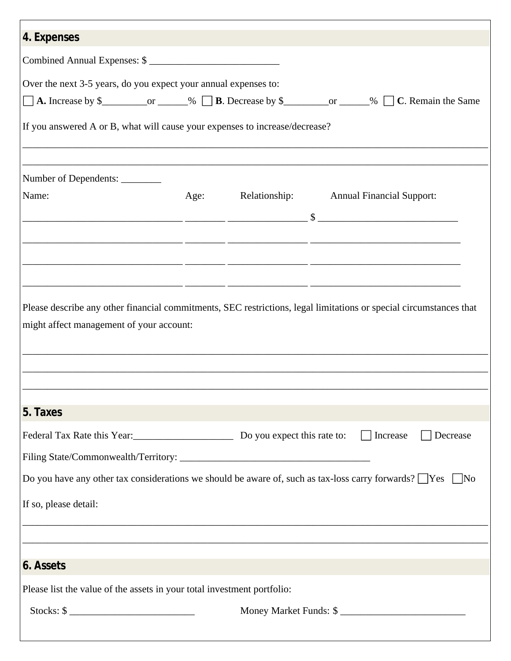| 4. Expenses                                                                                                                                                                                                                                                         |      |  |                                                                                                                                                                                       |  |  |  |
|---------------------------------------------------------------------------------------------------------------------------------------------------------------------------------------------------------------------------------------------------------------------|------|--|---------------------------------------------------------------------------------------------------------------------------------------------------------------------------------------|--|--|--|
| Combined Annual Expenses: \$                                                                                                                                                                                                                                        |      |  |                                                                                                                                                                                       |  |  |  |
| Over the next 3-5 years, do you expect your annual expenses to:<br>$\Box$ A. Increase by \$___________________% $\Box$ B. Decrease by \$_________________% $\Box$ C. Remain the Same<br>If you answered A or B, what will cause your expenses to increase/decrease? |      |  |                                                                                                                                                                                       |  |  |  |
| Number of Dependents: _________                                                                                                                                                                                                                                     |      |  |                                                                                                                                                                                       |  |  |  |
| Name:                                                                                                                                                                                                                                                               | Age: |  | Relationship: Annual Financial Support:                                                                                                                                               |  |  |  |
|                                                                                                                                                                                                                                                                     |      |  | <u> 2002 - 2003 - 2004 - 2005 - 2006 - 2007 - 2008 - 2009 - 2009 - 2009 - 2009 - 2009 - 2009 - 2009 - 200</u>                                                                         |  |  |  |
| might affect management of your account:                                                                                                                                                                                                                            |      |  | <u> 1990 - Jan James James, Amerikaansk politiker (d. 1980)</u><br>Please describe any other financial commitments, SEC restrictions, legal limitations or special circumstances that |  |  |  |
|                                                                                                                                                                                                                                                                     |      |  |                                                                                                                                                                                       |  |  |  |
| 5. Taxes                                                                                                                                                                                                                                                            |      |  |                                                                                                                                                                                       |  |  |  |
| Federal Tax Rate this Year: Do you expect this rate to:                                                                                                                                                                                                             |      |  | Increase<br>Decrease                                                                                                                                                                  |  |  |  |
| Do you have any other tax considerations we should be aware of, such as tax-loss carry forwards? $\Box$ Yes $\Box$ No                                                                                                                                               |      |  |                                                                                                                                                                                       |  |  |  |
| If so, please detail:                                                                                                                                                                                                                                               |      |  |                                                                                                                                                                                       |  |  |  |
|                                                                                                                                                                                                                                                                     |      |  |                                                                                                                                                                                       |  |  |  |
| 6. Assets                                                                                                                                                                                                                                                           |      |  |                                                                                                                                                                                       |  |  |  |
| Please list the value of the assets in your total investment portfolio:                                                                                                                                                                                             |      |  |                                                                                                                                                                                       |  |  |  |
| Stocks: \$                                                                                                                                                                                                                                                          |      |  | Money Market Funds: \$                                                                                                                                                                |  |  |  |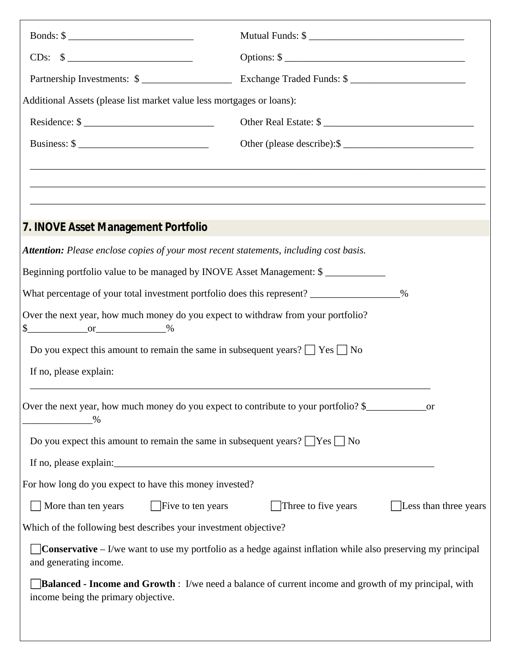| Bonds: $\frac{\sqrt{2}}{2}$                                                                                                                         | Mutual Funds: \$                                                                 |                              |  |  |
|-----------------------------------------------------------------------------------------------------------------------------------------------------|----------------------------------------------------------------------------------|------------------------------|--|--|
| $CDs: \quad $ \underline{\hspace{2cm}}$                                                                                                             | Options: \$                                                                      |                              |  |  |
| Partnership Investments: \$                                                                                                                         | Exchange Traded Funds: \$                                                        |                              |  |  |
| Additional Assets (please list market value less mortgages or loans):                                                                               |                                                                                  |                              |  |  |
|                                                                                                                                                     | Other Real Estate: \$                                                            |                              |  |  |
| Business: $\frac{1}{2}$                                                                                                                             | Other (please describe): \$                                                      |                              |  |  |
|                                                                                                                                                     | ,我们也不能在这里的时候,我们也不能在这里的时候,我们也不能会在这里,我们也不能会不能会不能会不能会不能会不能会不能会。""我们的是我们的,我们也不能会不能会不 |                              |  |  |
|                                                                                                                                                     |                                                                                  |                              |  |  |
| 7. INOVE Asset Management Portfolio                                                                                                                 |                                                                                  |                              |  |  |
| Attention: Please enclose copies of your most recent statements, including cost basis.                                                              |                                                                                  |                              |  |  |
| Beginning portfolio value to be managed by INOVE Asset Management: \$                                                                               |                                                                                  |                              |  |  |
| What percentage of your total investment portfolio does this represent? _______________%                                                            |                                                                                  |                              |  |  |
| Over the next year, how much money do you expect to withdraw from your portfolio?<br>$\frac{\text{S}}{\text{S}}$ or $\frac{\text{S}}{\text{S}}$ 3   |                                                                                  |                              |  |  |
| Do you expect this amount to remain the same in subsequent years? $\Box$ Yes $\Box$ No                                                              |                                                                                  |                              |  |  |
| If no, please explain:                                                                                                                              |                                                                                  |                              |  |  |
| Over the next year, how much money do you expect to contribute to your portfolio? \$<br>$\%$                                                        |                                                                                  |                              |  |  |
| Do you expect this amount to remain the same in subsequent years? $\Box$ Yes $\Box$ No                                                              |                                                                                  |                              |  |  |
|                                                                                                                                                     |                                                                                  |                              |  |  |
| For how long do you expect to have this money invested?                                                                                             |                                                                                  |                              |  |  |
| <b>Five to ten years</b><br>More than ten years                                                                                                     | Three to five years                                                              | $\Box$ Less than three years |  |  |
| Which of the following best describes your investment objective?                                                                                    |                                                                                  |                              |  |  |
| <b>Conservative</b> $-1$ /we want to use my portfolio as a hedge against inflation while also preserving my principal<br>and generating income.     |                                                                                  |                              |  |  |
| <b>Balanced - Income and Growth</b> : I/we need a balance of current income and growth of my principal, with<br>income being the primary objective. |                                                                                  |                              |  |  |
|                                                                                                                                                     |                                                                                  |                              |  |  |